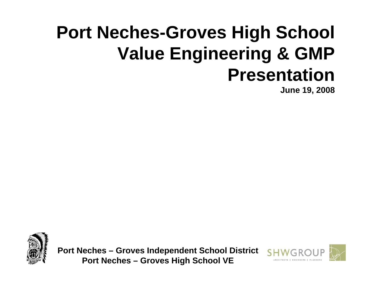# **Port Neches-Groves High School Value Engineering & GMP Presentation**

**June 19, 2008**





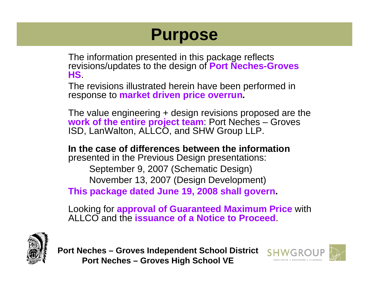## **Purpose**

The information presented in this package reflects revisions/updates to the design of **Port Neches-Groves HS**.

The revisions illustrated herein have been performed in response to **market driven price overrun.**

The value engineering + design revisions proposed are the **work of the entire project team**: Port Neches – Groves ISD, LanWalton, ALLCO, and SHW Group LLP.

**In the case of differences between the information** presented in the Previous Design presentations: September 9, 2007 (Schematic Design) November 13, 2007 (Design Development) **This package dated June 19, 2008 shall govern.**

Looking for **approval of Guaranteed Maximum Price** with ALLCO and the **issuance of a Notice to Proceed**.



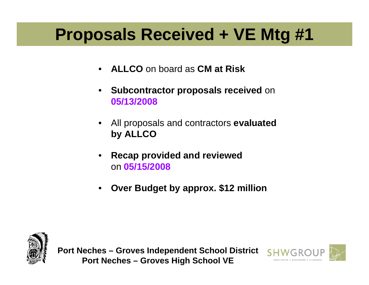## **Proposals Received + VE Mtg #1**

- **ALLCO** on board as **CM at Risk**
- **Subcontractor proposals received** on **05/13/2008**
- All proposals and contractors **evaluated by ALLCO**
- **Recap provided and reviewed**  on **05/15/2008**
- **Over Budget by approx. \$12 million**



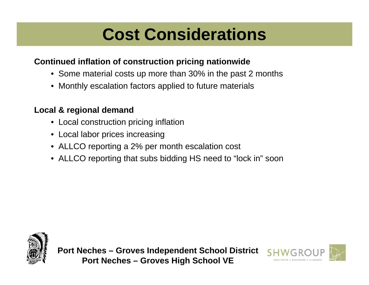## **Cost Considerations**

#### **Continued inflation of construction pricing nationwide**

- Some material costs up more than 30% in the past 2 months
- Monthly escalation factors applied to future materials

#### **Local & regional demand**

- Local construction pricing inflation
- Local labor prices increasing
- ALLCO reporting a 2% per month escalation cost
- ALLCO reporting that subs bidding HS need to "lock in" soon



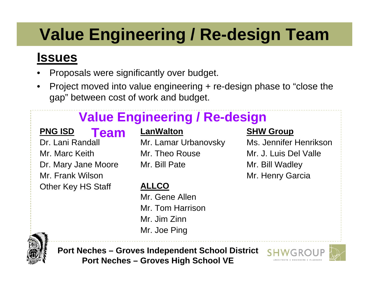# **Value Engineering / Re-design Team**

#### **Issues**

- Proposals were significantly over budget.
- Project moved into value engineering + re-design phase to "close the gap" between cost of work and budget.

### **Value Engineering / Re-design**

#### **PNG ISD**

#### **Team**

Dr. Lani Randall Mr. Marc KeithDr. Mary Jane Moore Mr. Frank WilsonOther Key HS Staff

#### **LanWalton**

Mr. Lamar Urbanovsky Mr. Theo RouseMr. Bill Pate

#### **ALLCO**

Mr. Gene AllenMr. Tom HarrisonMr. Jim ZinnMr. Joe Ping

#### **SHW Group**

Ms. Jennifer HenriksonMr. J. Luis Del ValleMr. Bill Wadley Mr. Henry Garcia



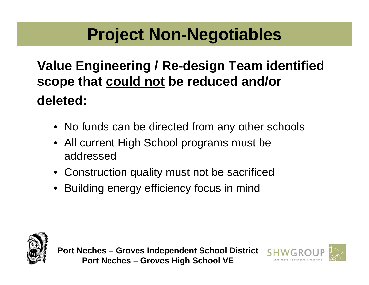## **Project Non-Negotiables**

#### **Value Engineering / Re-design Team identified scope that could not be reduced and/or deleted:**

- No funds can be directed from any other schools
- All current High School programs must be addressed
- Construction quality must not be sacrificed
- Building energy efficiency focus in mind



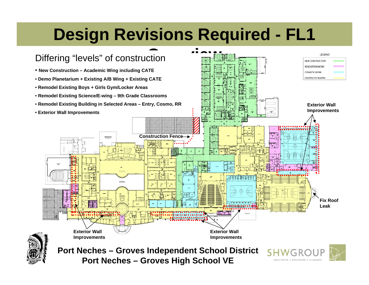# **Design Revisions Required - FL1**

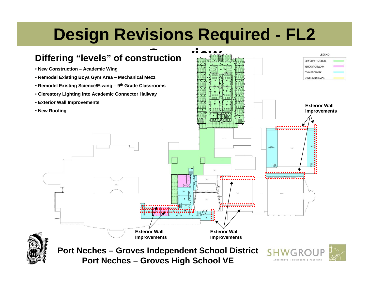# **Design Revisions Required - FL2**

#### **Differing "levels" of construction**

- **New Construction Academic Wing**
- **Remodel Existing Boys Gym Area Mechanical Mezz**
- **Remodel Existing Science/E-wing 9th Grade Classrooms**
- **Clerestory Lighting into Academic Connector Hallway**
- **Exterior Wall Improvements**
- **New Roofing**



**Port Neches – Groves High School VE**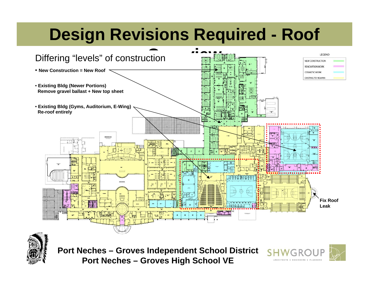# **Design Revisions Required - Roof**



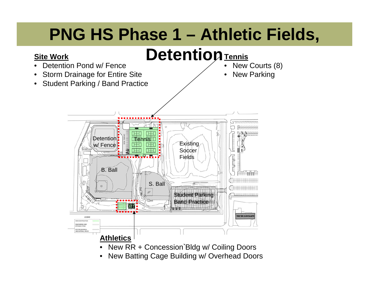# **PNG HS Phase 1 – Athletic Fields,**

## **Detention Tennis**



**Proto Batting Dago Ballang W/ Overlow** • New Batting Cage Building w/ Overhead Doors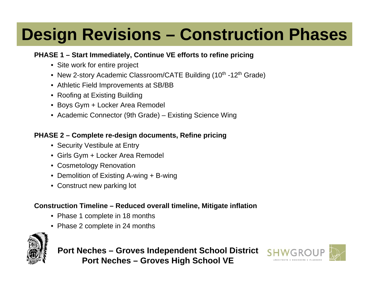# **Design Revisions – Construction Phases**

#### **PHASE 1 – Start Immediately, Continue VE efforts to refine pricing**

- Site work for entire project
- New 2-story Academic Classroom/CATE Building (10<sup>th</sup> -12<sup>th</sup> Grade)
- Athletic Field Improvements at SB/BB
- Roofing at Existing Building
- Boys Gym + Locker Area Remodel
- Academic Connector (9th Grade) Existing Science Wing

#### **PHASE 2 – Complete re-design documents, Refine pricing**

- Security Vestibule at Entry
- Girls Gym + Locker Area Remodel
- Cosmetology Renovation
- Demolition of Existing A-wing + B-wing
- Construct new parking lot

#### **Construction Timeline – Reduced overall timeline, Mitigate inflation**

- Phase 1 complete in 18 months
- Phase 2 complete in 24 months



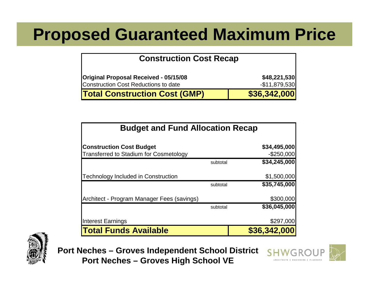### **Proposed Guaranteed Maximum Price**

#### **Construction Cost Recap**

| Original Proposal Received - 05/15/08       | \$48,221,530  |
|---------------------------------------------|---------------|
| <b>Construction Cost Reductions to date</b> | -\$11,879,530 |
| <b>Total Construction Cost (GMP)</b>        | \$36,342,000  |

| <b>Budget and Fund Allocation Recap</b>                                          |          |                               |
|----------------------------------------------------------------------------------|----------|-------------------------------|
| <b>Construction Cost Budget</b><br><b>Transferred to Stadium for Cosmetology</b> |          | \$34,495,000<br>$-$ \$250,000 |
|                                                                                  | subtotal | \$34,245,000                  |
| <b>Technology Included in Construction</b>                                       |          | \$1,500,000                   |
|                                                                                  | subtotal | \$35,745,000                  |
| Architect - Program Manager Fees (savings)                                       |          | \$300,000                     |
|                                                                                  | subtotal | \$36,045,000                  |
| <b>Interest Earnings</b>                                                         |          | \$297,000                     |
| <b>Total Funds Available</b>                                                     |          | \$36,342,000                  |



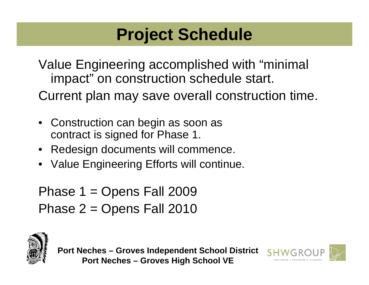## **Project Schedule**

Value Engineering accomplished with "minimal impact" on construction schedule start. Current plan may save overall construction time.

- Construction can begin as soon as contract is signed for Phase 1.
- Redesign documents will commence.
- Value Engineering Efforts will continue.

```
Phase 1 = Opens Fall 2009
Phase 2 = Opens Fall 2010
```


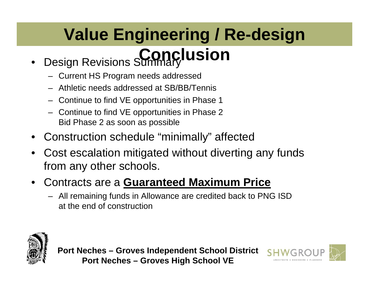#### • Design Revisions Summary **Value Engineering / Re-design Conclusion**

- Current HS Program needs addressed
- Athletic needs addressed at SB/BB/Tennis
- Continue to find VE opportunities in Phase 1
- Continue to find VE opportunities in Phase 2 Bid Phase 2 as soon as possible
- Construction schedule "minimally" affected
- Cost escalation mitigated without diverting any funds from any other schools.
- Contracts are a **Guaranteed Maximum Price**
	- All remaining funds in Allowance are credited back to PNG ISD at the end of construction